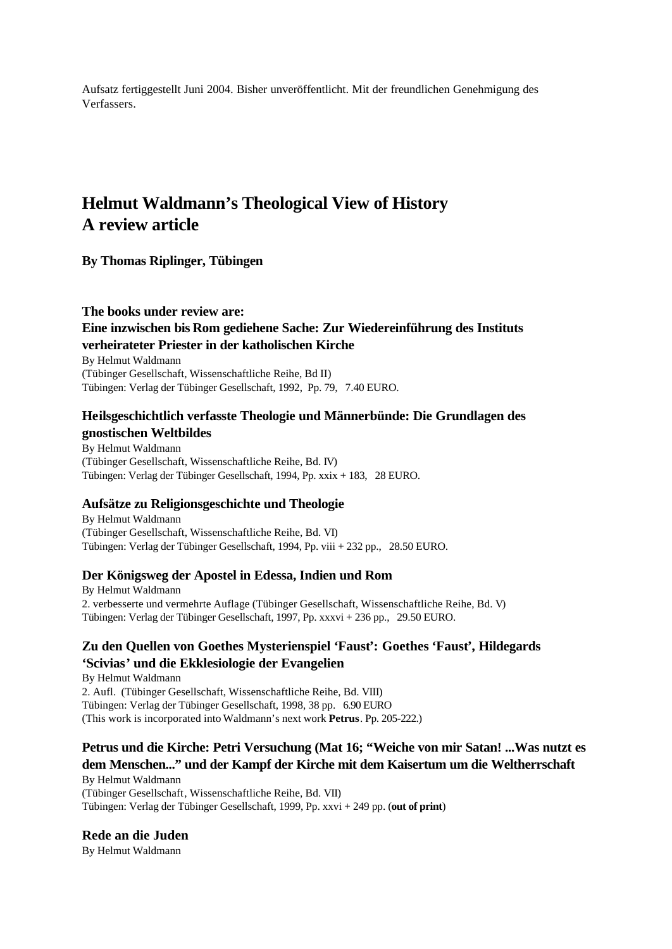Aufsatz fertiggestellt Juni 2004. Bisher unveröffentlicht. Mit der freundlichen Genehmigung des Verfassers.

# **Helmut Waldmann's Theological View of History A review article**

**By Thomas Riplinger, Tübingen**

## **The books under review are: Eine inzwischen bis Rom gediehene Sache: Zur Wiedereinführung des Instituts verheirateter Priester in der katholischen Kirche**

By Helmut Waldmann (Tübinger Gesellschaft, Wissenschaftliche Reihe, Bd II) Tübingen: Verlag der Tübinger Gesellschaft, 1992, Pp. 79, 7.40 EURO.

### **Heilsgeschichtlich verfasste Theologie und Männerbünde: Die Grundlagen des gnostischen Weltbildes**

By Helmut Waldmann (Tübinger Gesellschaft, Wissenschaftliche Reihe, Bd. IV) Tübingen: Verlag der Tübinger Gesellschaft, 1994, Pp. xxix + 183, 28 EURO.

#### **Aufsätze zu Religionsgeschichte und Theologie**

By Helmut Waldmann (Tübinger Gesellschaft, Wissenschaftliche Reihe, Bd. VI) Tübingen: Verlag der Tübinger Gesellschaft, 1994, Pp. viii + 232 pp., 28.50 EURO.

#### **Der Königsweg der Apostel in Edessa, Indien und Rom**

By Helmut Waldmann 2. verbesserte und vermehrte Auflage (Tübinger Gesellschaft, Wissenschaftliche Reihe, Bd. V) Tübingen: Verlag der Tübinger Gesellschaft, 1997, Pp. xxxvi + 236 pp., 29.50 EURO.

### **Zu den Quellen von Goethes Mysterienspiel 'Faust': Goethes 'Faust', Hildegards 'Scivias' und die Ekklesiologie der Evangelien**

By Helmut Waldmann 2. Aufl. (Tübinger Gesellschaft, Wissenschaftliche Reihe, Bd. VIII) Tübingen: Verlag der Tübinger Gesellschaft, 1998, 38 pp. 6.90 EURO (This work is incorporated into Waldmann's next work **Petrus**. Pp. 205-222.)

# **Petrus und die Kirche: Petri Versuchung (Mat 16; "Weiche von mir Satan! ...Was nutzt es dem Menschen..." und der Kampf der Kirche mit dem Kaisertum um die Weltherrschaft**

By Helmut Waldmann (Tübinger Gesellschaft, Wissenschaftliche Reihe, Bd. VII) Tübingen: Verlag der Tübinger Gesellschaft, 1999, Pp. xxvi + 249 pp. (**out of print**)

#### **Rede an die Juden**

By Helmut Waldmann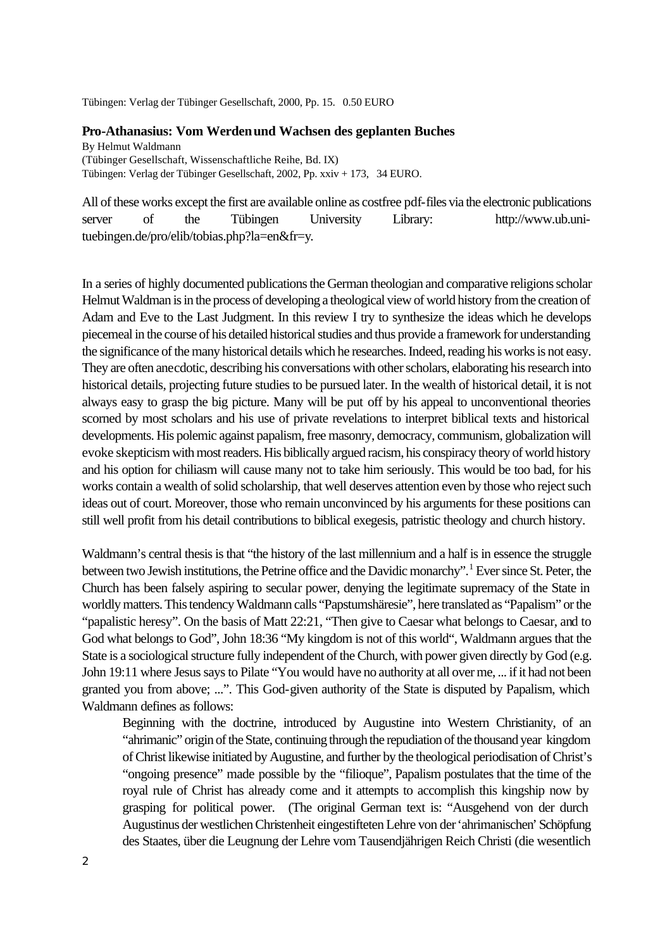Tübingen: Verlag der Tübinger Gesellschaft, 2000, Pp. 15. 0.50 EURO

#### **Pro-Athanasius: Vom Werden und Wachsen des geplanten Buches**

By Helmut Waldmann (Tübinger Gesellschaft, Wissenschaftliche Reihe, Bd. IX) Tübingen: Verlag der Tübinger Gesellschaft, 2002, Pp. xxiv + 173, 34 EURO.

All of these works except the first are available online as costfree pdf-files via the electronic publications server of the Tübingen University Library: http://www.ub.unituebingen.de/pro/elib/tobias.php?la=en&fr=y.

In a series of highly documented publications the German theologian and comparative religions scholar Helmut Waldman is in the process of developing a theological view of world history from the creation of Adam and Eve to the Last Judgment. In this review I try to synthesize the ideas which he develops piecemeal in the course of his detailed historical studies and thus provide a framework for understanding the significance of the many historical details which he researches. Indeed, reading his works is not easy. They are often anecdotic, describing his conversations with other scholars, elaborating his research into historical details, projecting future studies to be pursued later. In the wealth of historical detail, it is not always easy to grasp the big picture. Many will be put off by his appeal to unconventional theories scorned by most scholars and his use of private revelations to interpret biblical texts and historical developments. His polemic against papalism, free masonry, democracy, communism, globalization will evoke skepticism with most readers. His biblically argued racism, his conspiracy theory of world history and his option for chiliasm will cause many not to take him seriously. This would be too bad, for his works contain a wealth of solid scholarship, that well deserves attention even by those who reject such ideas out of court. Moreover, those who remain unconvinced by his arguments for these positions can still well profit from his detail contributions to biblical exegesis, patristic theology and church history.

Waldmann's central thesis is that "the history of the last millennium and a half is in essence the struggle between two Jewish institutions, the Petrine office and the Davidic monarchy". <sup>1</sup> Ever since St. Peter, the Church has been falsely aspiring to secular power, denying the legitimate supremacy of the State in worldly matters. This tendency Waldmann calls "Papstumshäresie", here translated as "Papalism" or the "papalistic heresy". On the basis of Matt 22:21, "Then give to Caesar what belongs to Caesar, and to God what belongs to God", John 18:36 "My kingdom is not of this world", Waldmann argues that the State is a sociological structure fully independent of the Church, with power given directly by God (e.g. John 19:11 where Jesus says to Pilate "You would have no authority at all over me, ... if it had not been granted you from above; ...". This God-given authority of the State is disputed by Papalism, which Waldmann defines as follows:

Beginning with the doctrine, introduced by Augustine into Western Christianity, of an "ahrimanic" origin of the State, continuing through the repudiation of the thousand year kingdom of Christ likewise initiated by Augustine, and further by the theological periodisation of Christ's "ongoing presence" made possible by the "filioque", Papalism postulates that the time of the royal rule of Christ has already come and it attempts to accomplish this kingship now by grasping for political power. (The original German text is: "Ausgehend von der durch Augustinus der westlichen Christenheit eingestifteten Lehre von der 'ahrimanischen' Schöpfung des Staates, über die Leugnung der Lehre vom Tausendjährigen Reich Christi (die wesentlich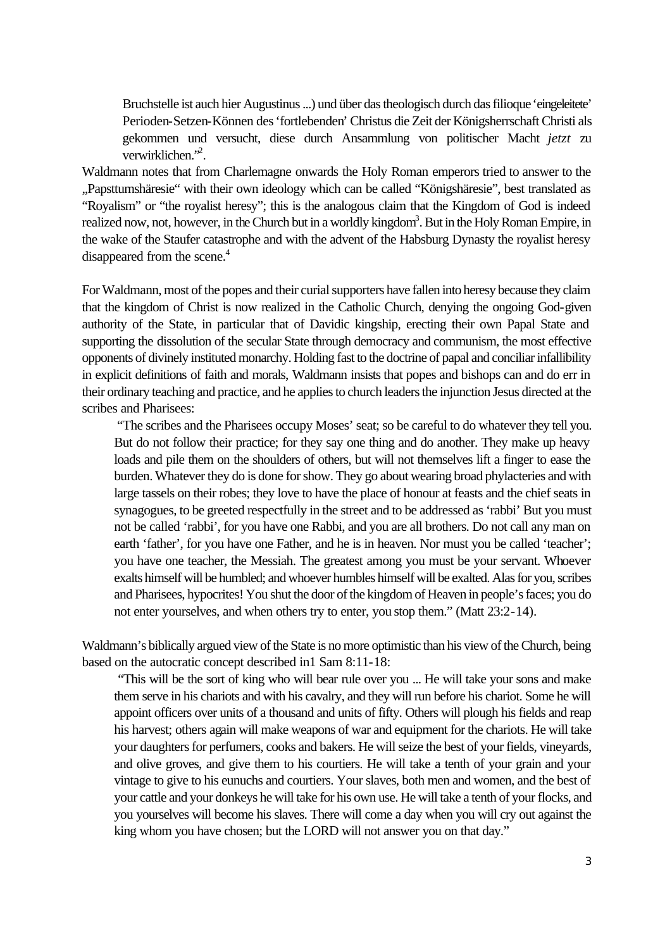Bruchstelle ist auch hier Augustinus ...) und über das theologisch durch das filioque 'eingeleitete' Perioden-Setzen-Können des 'fortlebenden' Christus die Zeit der Königsherrschaft Christi als gekommen und versucht, diese durch Ansammlung von politischer Macht *jetzt* zu verwirklichen."<sup>2</sup>.

Waldmann notes that from Charlemagne onwards the Holy Roman emperors tried to answer to the "Papsttumshäresie" with their own ideology which can be called "Königshäresie", best translated as "Royalism" or "the royalist heresy"; this is the analogous claim that the Kingdom of God is indeed realized now, not, however, in the Church but in a worldly kingdom<sup>3</sup>. But in the Holy Roman Empire, in the wake of the Staufer catastrophe and with the advent of the Habsburg Dynasty the royalist heresy disappeared from the scene.<sup>4</sup>

For Waldmann, most of the popes and their curial supporters have fallen into heresy because they claim that the kingdom of Christ is now realized in the Catholic Church, denying the ongoing God-given authority of the State, in particular that of Davidic kingship, erecting their own Papal State and supporting the dissolution of the secular State through democracy and communism, the most effective opponents of divinely instituted monarchy. Holding fast to the doctrine of papal and conciliar infallibility in explicit definitions of faith and morals, Waldmann insists that popes and bishops can and do err in their ordinary teaching and practice, and he applies to church leaders the injunction Jesus directed at the scribes and Pharisees:

 "The scribes and the Pharisees occupy Moses' seat; so be careful to do whatever they tell you. But do not follow their practice; for they say one thing and do another. They make up heavy loads and pile them on the shoulders of others, but will not themselves lift a finger to ease the burden. Whatever they do is done for show. They go about wearing broad phylacteries and with large tassels on their robes; they love to have the place of honour at feasts and the chief seats in synagogues, to be greeted respectfully in the street and to be addressed as 'rabbi' But you must not be called 'rabbi', for you have one Rabbi, and you are all brothers. Do not call any man on earth 'father', for you have one Father, and he is in heaven. Nor must you be called 'teacher'; you have one teacher, the Messiah. The greatest among you must be your servant. Whoever exalts himself will be humbled; and whoever humbles himself will be exalted. Alas for you, scribes and Pharisees, hypocrites! You shut the door of the kingdom of Heaven in people's faces; you do not enter yourselves, and when others try to enter, you stop them." (Matt 23:2-14).

Waldmann's biblically argued view of the State is no more optimistic than his view of the Church, being based on the autocratic concept described in1 Sam 8:11-18:

 "This will be the sort of king who will bear rule over you ... He will take your sons and make them serve in his chariots and with his cavalry, and they will run before his chariot. Some he will appoint officers over units of a thousand and units of fifty. Others will plough his fields and reap his harvest; others again will make weapons of war and equipment for the chariots. He will take your daughters for perfumers, cooks and bakers. He will seize the best of your fields, vineyards, and olive groves, and give them to his courtiers. He will take a tenth of your grain and your vintage to give to his eunuchs and courtiers. Your slaves, both men and women, and the best of your cattle and your donkeys he will take for his own use. He will take a tenth of your flocks, and you yourselves will become his slaves. There will come a day when you will cry out against the king whom you have chosen; but the LORD will not answer you on that day."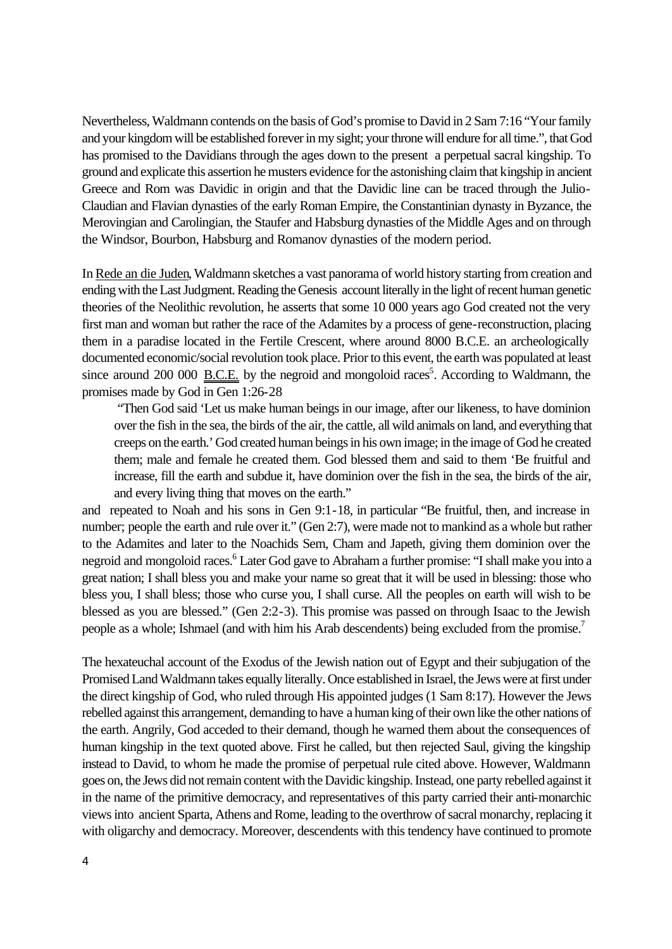Nevertheless, Waldmann contends on the basis of God's promise to David in 2 Sam 7:16 "Your family and your kingdom will be established forever in my sight; your throne will endure for all time.", that God has promised to the Davidians through the ages down to the present a perpetual sacral kingship. To ground and explicate this assertion he musters evidence for the astonishing claim that kingship in ancient Greece and Rom was Davidic in origin and that the Davidic line can be traced through the Julio-Claudian and Flavian dynasties of the early Roman Empire, the Constantinian dynasty in Byzance, the Merovingian and Carolingian, the Staufer and Habsburg dynasties of the Middle Ages and on through the Windsor, Bourbon, Habsburg and Romanov dynasties of the modern period.

In Rede an die Juden, Waldmann sketches a vast panorama of world history starting from creation and ending with the Last Judgment. Reading the Genesis account literally in the light of recent human genetic theories of the Neolithic revolution, he asserts that some 10 000 years ago God created not the very first man and woman but rather the race of the Adamites by a process of gene-reconstruction, placing them in a paradise located in the Fertile Crescent, where around 8000 B.C.E. an archeologically documented economic/social revolution took place. Prior to this event, the earth was populated at least since around 200 000 **B.C.E.** by the negroid and mongoloid races<sup>5</sup>. According to Waldmann, the promises made by God in Gen 1:26-28

 "Then God said 'Let us make human beings in our image, after our likeness, to have dominion over the fish in the sea, the birds of the air, the cattle, all wild animals on land, and everything that creeps on the earth.' God created human beings in his own image; in the image of God he created them; male and female he created them. God blessed them and said to them 'Be fruitful and increase, fill the earth and subdue it, have dominion over the fish in the sea, the birds of the air, and every living thing that moves on the earth."

and repeated to Noah and his sons in Gen 9:1-18, in particular "Be fruitful, then, and increase in number; people the earth and rule over it." (Gen 2:7), were made not to mankind as a whole but rather to the Adamites and later to the Noachids Sem, Cham and Japeth, giving them dominion over the negroid and mongoloid races.<sup>6</sup> Later God gave to Abraham a further promise: "I shall make you into a great nation; I shall bless you and make your name so great that it will be used in blessing: those who bless you, I shall bless; those who curse you, I shall curse. All the peoples on earth will wish to be blessed as you are blessed." (Gen 2:2-3). This promise was passed on through Isaac to the Jewish people as a whole; Ishmael (and with him his Arab descendents) being excluded from the promise.<sup>7</sup>

The hexateuchal account of the Exodus of the Jewish nation out of Egypt and their subjugation of the Promised Land Waldmann takes equally literally. Once established in Israel, the Jews were at first under the direct kingship of God, who ruled through His appointed judges (1 Sam 8:17). However the Jews rebelled against this arrangement, demanding to have a human king of their own like the other nations of the earth. Angrily, God acceded to their demand, though he warned them about the consequences of human kingship in the text quoted above. First he called, but then rejected Saul, giving the kingship instead to David, to whom he made the promise of perpetual rule cited above. However, Waldmann goes on, the Jews did not remain content with the Davidic kingship. Instead, one party rebelled against it in the name of the primitive democracy, and representatives of this party carried their anti-monarchic views into ancient Sparta, Athens and Rome, leading to the overthrow of sacral monarchy, replacing it with oligarchy and democracy. Moreover, descendents with this tendency have continued to promote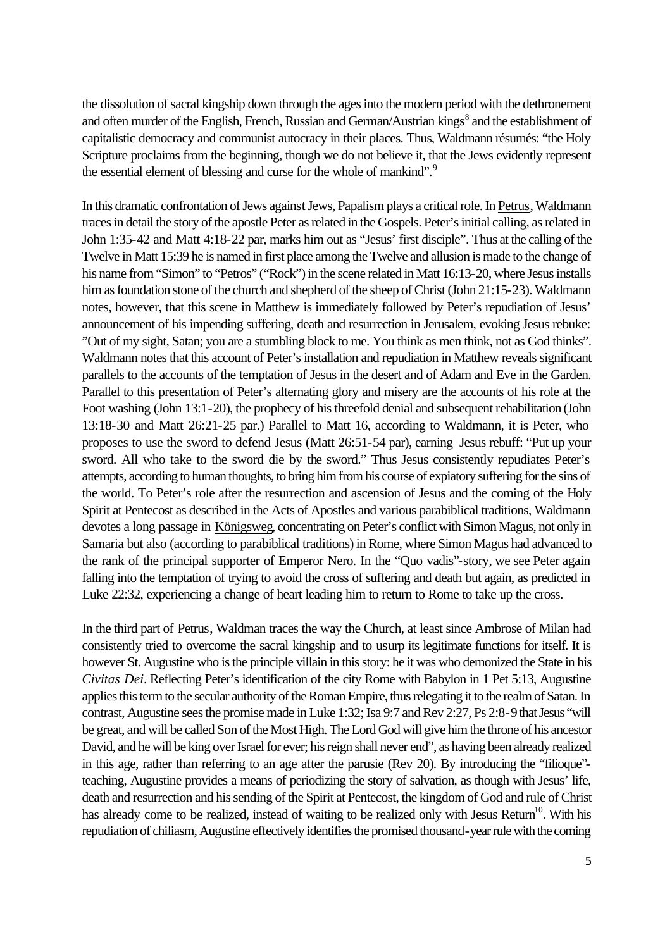the dissolution of sacral kingship down through the ages into the modern period with the dethronement and often murder of the English, French, Russian and German/Austrian kings<sup>8</sup> and the establishment of capitalistic democracy and communist autocracy in their places. Thus, Waldmann résumés: "the Holy Scripture proclaims from the beginning, though we do not believe it, that the Jews evidently represent the essential element of blessing and curse for the whole of mankind".<sup>9</sup>

In this dramatic confrontation of Jews against Jews, Papalism plays a critical role. In Petrus, Waldmann traces in detail the story of the apostle Peter as related in the Gospels. Peter's initial calling, as related in John 1:35-42 and Matt 4:18-22 par, marks him out as "Jesus' first disciple". Thus at the calling of the Twelve in Matt 15:39 he is named in first place among the Twelve and allusion is made to the change of his name from "Simon" to "Petros" ("Rock") in the scene related in Matt 16:13-20, where Jesus installs him as foundation stone of the church and shepherd of the sheep of Christ (John 21:15-23). Waldmann notes, however, that this scene in Matthew is immediately followed by Peter's repudiation of Jesus' announcement of his impending suffering, death and resurrection in Jerusalem, evoking Jesus rebuke: "Out of my sight, Satan; you are a stumbling block to me. You think as men think, not as God thinks". Waldmann notes that this account of Peter's installation and repudiation in Matthew reveals significant parallels to the accounts of the temptation of Jesus in the desert and of Adam and Eve in the Garden. Parallel to this presentation of Peter's alternating glory and misery are the accounts of his role at the Foot washing (John 13:1-20), the prophecy of his threefold denial and subsequent rehabilitation (John 13:18-30 and Matt 26:21-25 par.) Parallel to Matt 16, according to Waldmann, it is Peter, who proposes to use the sword to defend Jesus (Matt 26:51-54 par), earning Jesus rebuff: "Put up your sword. All who take to the sword die by the sword." Thus Jesus consistently repudiates Peter's attempts, according to human thoughts, to bring him from his course of expiatory suffering for the sins of the world. To Peter's role after the resurrection and ascension of Jesus and the coming of the Holy Spirit at Pentecost as described in the Acts of Apostles and various parabiblical traditions, Waldmann devotes a long passage in Königsweg, concentrating on Peter's conflict with Simon Magus, not only in Samaria but also (according to parabiblical traditions) in Rome, where Simon Magus had advanced to the rank of the principal supporter of Emperor Nero. In the "Quo vadis"-story, we see Peter again falling into the temptation of trying to avoid the cross of suffering and death but again, as predicted in Luke 22:32, experiencing a change of heart leading him to return to Rome to take up the cross.

In the third part of Petrus, Waldman traces the way the Church, at least since Ambrose of Milan had consistently tried to overcome the sacral kingship and to usurp its legitimate functions for itself. It is however St. Augustine who is the principle villain in this story: he it was who demonized the State in his *Civitas Dei*. Reflecting Peter's identification of the city Rome with Babylon in 1 Pet 5:13, Augustine applies this term to the secular authority of the Roman Empire, thus relegating it to the realm of Satan. In contrast, Augustine sees the promise made in Luke 1:32; Isa 9:7 and Rev 2:27, Ps 2:8-9 that Jesus "will be great, and will be called Son of the Most High. The Lord God will give him the throne of his ancestor David, and he will be king over Israel for ever; his reign shall never end", as having been already realized in this age, rather than referring to an age after the parusie (Rev 20). By introducing the "filioque" teaching, Augustine provides a means of periodizing the story of salvation, as though with Jesus' life, death and resurrection and his sending of the Spirit at Pentecost, the kingdom of God and rule of Christ has already come to be realized, instead of waiting to be realized only with Jesus Return<sup>10</sup>. With his repudiation of chiliasm, Augustine effectively identifies the promised thousand-year rule with the coming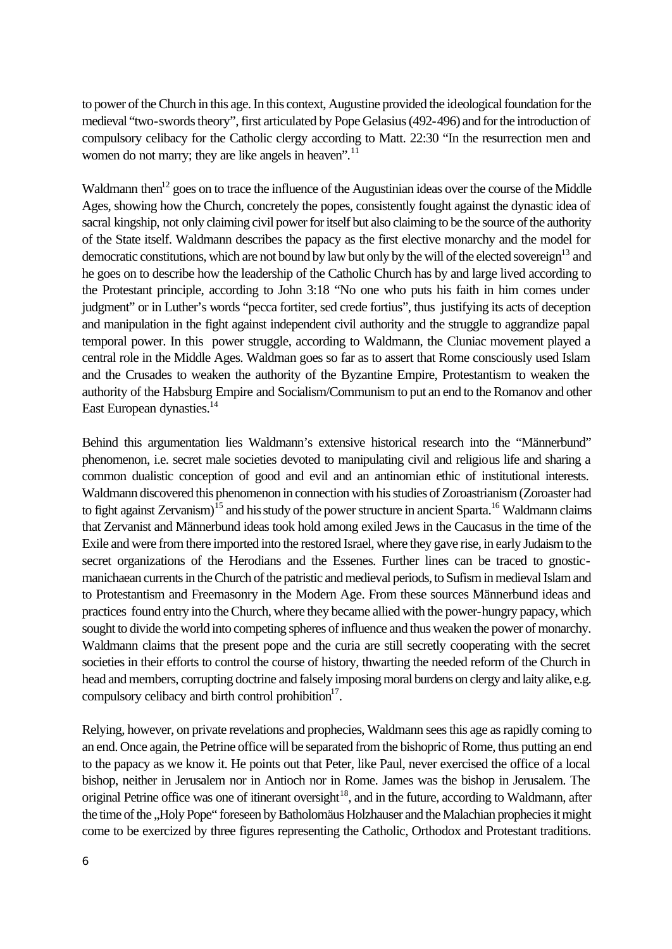to power of the Church in this age. In this context, Augustine provided the ideological foundation for the medieval "two-swords theory", first articulated by Pope Gelasius (492-496) and for the introduction of compulsory celibacy for the Catholic clergy according to Matt. 22:30 "In the resurrection men and women do not marry; they are like angels in heaven".<sup>11</sup>

Waldmann then<sup>12</sup> goes on to trace the influence of the Augustinian ideas over the course of the Middle Ages, showing how the Church, concretely the popes, consistently fought against the dynastic idea of sacral kingship, not only claiming civil power for itself but also claiming to be the source of the authority of the State itself. Waldmann describes the papacy as the first elective monarchy and the model for democratic constitutions, which are not bound by law but only by the will of the elected sovereign<sup>13</sup> and he goes on to describe how the leadership of the Catholic Church has by and large lived according to the Protestant principle, according to John 3:18 "No one who puts his faith in him comes under judgment" or in Luther's words "pecca fortiter, sed crede fortius", thus justifying its acts of deception and manipulation in the fight against independent civil authority and the struggle to aggrandize papal temporal power. In this power struggle, according to Waldmann, the Cluniac movement played a central role in the Middle Ages. Waldman goes so far as to assert that Rome consciously used Islam and the Crusades to weaken the authority of the Byzantine Empire, Protestantism to weaken the authority of the Habsburg Empire and Socialism/Communism to put an end to the Romanov and other East European dynasties.<sup>14</sup>

Behind this argumentation lies Waldmann's extensive historical research into the "Männerbund" phenomenon, i.e. secret male societies devoted to manipulating civil and religious life and sharing a common dualistic conception of good and evil and an antinomian ethic of institutional interests. Waldmann discovered this phenomenon in connection with his studies of Zoroastrianism (Zoroaster had to fight against Zervanism)<sup>15</sup> and his study of the power structure in ancient Sparta.<sup>16</sup> Waldmann claims that Zervanist and Männerbund ideas took hold among exiled Jews in the Caucasus in the time of the Exile and were from there imported into the restored Israel, where they gave rise, in early Judaism to the secret organizations of the Herodians and the Essenes. Further lines can be traced to gnosticmanichaean currents in the Church of the patristic and medieval periods, to Sufism in medieval Islam and to Protestantism and Freemasonry in the Modern Age. From these sources Männerbund ideas and practices found entry into the Church, where they became allied with the power-hungry papacy, which sought to divide the world into competing spheres of influence and thus weaken the power of monarchy. Waldmann claims that the present pope and the curia are still secretly cooperating with the secret societies in their efforts to control the course of history, thwarting the needed reform of the Church in head and members, corrupting doctrine and falsely imposing moral burdens on clergy and laity alike, e.g. compulsory celibacy and birth control prohibition<sup>17</sup>.

Relying, however, on private revelations and prophecies, Waldmann sees this age as rapidly coming to an end. Once again, the Petrine office will be separated from the bishopric of Rome, thus putting an end to the papacy as we know it. He points out that Peter, like Paul, never exercised the office of a local bishop, neither in Jerusalem nor in Antioch nor in Rome. James was the bishop in Jerusalem. The original Petrine office was one of itinerant oversight<sup>18</sup>, and in the future, according to Waldmann, after the time of the "Holy Pope" foreseen by Batholomäus Holzhauser and the Malachian prophecies it might come to be exercized by three figures representing the Catholic, Orthodox and Protestant traditions.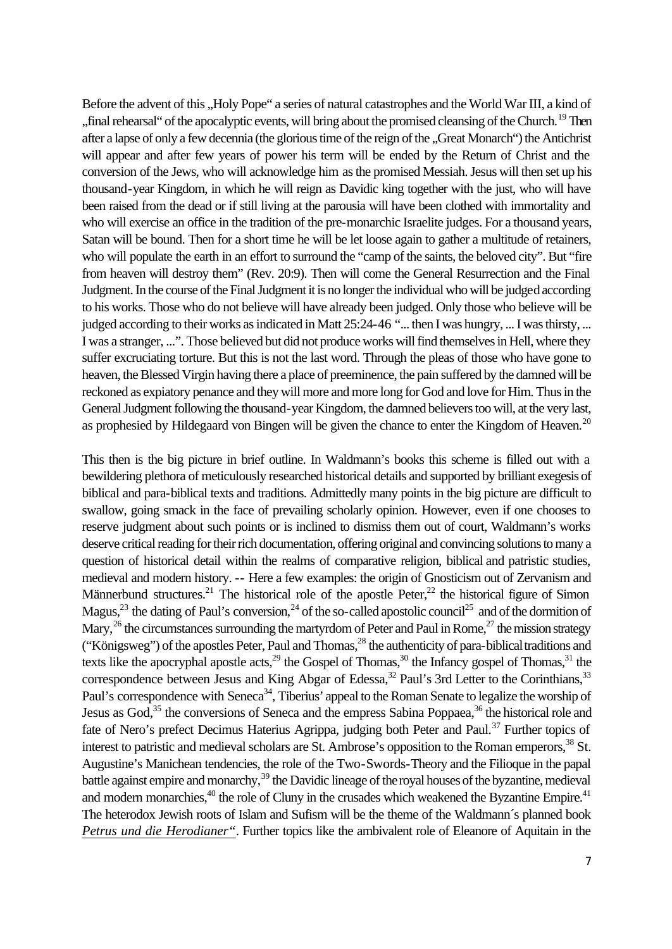Before the advent of this "Holy Pope" a series of natural catastrophes and the World War III, a kind of "final rehearsal" of the apocalyptic events, will bring about the promised cleansing of the Church.<sup>19</sup> Then after a lapse of only a few decennia (the glorious time of the reign of the "Great Monarch") the Antichrist will appear and after few years of power his term will be ended by the Return of Christ and the conversion of the Jews, who will acknowledge him as the promised Messiah. Jesus will then set up his thousand-year Kingdom, in which he will reign as Davidic king together with the just, who will have been raised from the dead or if still living at the parousia will have been clothed with immortality and who will exercise an office in the tradition of the pre-monarchic Israelite judges. For a thousand years, Satan will be bound. Then for a short time he will be let loose again to gather a multitude of retainers, who will populate the earth in an effort to surround the "camp of the saints, the beloved city". But "fire from heaven will destroy them" (Rev. 20:9). Then will come the General Resurrection and the Final Judgment. In the course of the Final Judgment it is no longer the individual who will be judged according to his works. Those who do not believe will have already been judged. Only those who believe will be judged according to their works as indicated in Matt 25:24-46 "... then I was hungry, ... I was thirsty, ... I was a stranger, ...". Those believed but did not produce works will find themselves in Hell, where they suffer excruciating torture. But this is not the last word. Through the pleas of those who have gone to heaven, the Blessed Virgin having there a place of preeminence, the pain suffered by the damned will be reckoned as expiatory penance and they will more and more long for God and love for Him. Thus in the General Judgment following the thousand-year Kingdom, the damned believers too will, at the very last, as prophesied by Hildegaard von Bingen will be given the chance to enter the Kingdom of Heaven.<sup>20</sup>

This then is the big picture in brief outline. In Waldmann's books this scheme is filled out with a bewildering plethora of meticulously researched historical details and supported by brilliant exegesis of biblical and para-biblical texts and traditions. Admittedly many points in the big picture are difficult to swallow, going smack in the face of prevailing scholarly opinion. However, even if one chooses to reserve judgment about such points or is inclined to dismiss them out of court, Waldmann's works deserve critical reading for their rich documentation, offering original and convincing solutions to many a question of historical detail within the realms of comparative religion, biblical and patristic studies, medieval and modern history. -- Here a few examples: the origin of Gnosticism out of Zervanism and Männerbund structures.<sup>21</sup> The historical role of the apostle Peter,<sup>22</sup> the historical figure of Simon Magus,<sup>23</sup> the dating of Paul's conversion,<sup>24</sup> of the so-called apostolic council<sup>25</sup> and of the dormition of Mary,<sup>26</sup> the circumstances surrounding the martyrdom of Peter and Paul in Rome,<sup>27</sup> the mission strategy ("Königsweg") of the apostles Peter, Paul and Thomas,<sup>28</sup> the authenticity of para-biblical traditions and texts like the apocryphal apostle acts,<sup>29</sup> the Gospel of Thomas,<sup>30</sup> the Infancy gospel of Thomas,<sup>31</sup> the correspondence between Jesus and King Abgar of Edessa,<sup>32</sup> Paul's 3rd Letter to the Corinthians,<sup>33</sup> Paul's correspondence with Seneca<sup>34</sup>, Tiberius' appeal to the Roman Senate to legalize the worship of Jesus as God,<sup>35</sup> the conversions of Seneca and the empress Sabina Poppaea,<sup>36</sup> the historical role and fate of Nero's prefect Decimus Haterius Agrippa, judging both Peter and Paul.<sup>37</sup> Further topics of interest to patristic and medieval scholars are St. Ambrose's opposition to the Roman emperors,<sup>38</sup> St. Augustine's Manichean tendencies, the role of the Two-Swords-Theory and the Filioque in the papal battle against empire and monarchy,<sup>39</sup> the Davidic lineage of the royal houses of the byzantine, medieval and modern monarchies,<sup>40</sup> the role of Cluny in the crusades which weakened the Byzantine Empire.<sup>41</sup> The heterodox Jewish roots of Islam and Sufism will be the theme of the Waldmann´s planned book *Petrus und die Herodianer"*. Further topics like the ambivalent role of Eleanore of Aquitain in the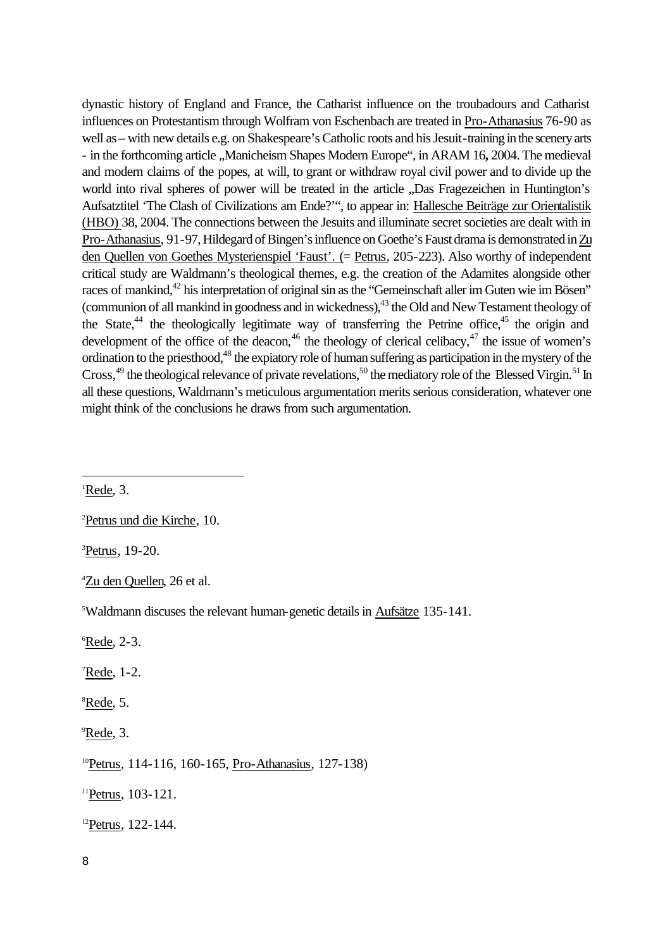dynastic history of England and France, the Catharist influence on the troubadours and Catharist influences on Protestantism through Wolfram von Eschenbach are treated in Pro-Athanasius 76-90 as well as – with new details e.g. on Shakespeare's Catholic roots and his Jesuit-training in the scenery arts - in the forthcoming article "Manicheism Shapes Modern Europe", in ARAM 16**,** 2004. The medieval and modern claims of the popes, at will, to grant or withdraw royal civil power and to divide up the world into rival spheres of power will be treated in the article "Das Fragezeichen in Huntington's Aufsatztitel 'The Clash of Civilizations am Ende?'", to appear in: Hallesche Beiträge zur Orientalistik (HBO) 38, 2004. The connections between the Jesuits and illuminate secret societies are dealt with in Pro-Athanasius, 91-97, Hildegard of Bingen's influence on Goethe's Faust drama is demonstrated in Zu den Quellen von Goethes Mysterienspiel 'Faust'. (= Petrus, 205-223). Also worthy of independent critical study are Waldmann's theological themes, e.g. the creation of the Adamites alongside other races of mankind,<sup>42</sup> his interpretation of original sin as the "Gemeinschaft aller im Guten wie im Bösen" (communion of all mankind in goodness and in wickedness), <sup>43</sup> the Old and New Testament theology of the State,<sup>44</sup> the theologically legitimate way of transferring the Petrine office,<sup>45</sup> the origin and development of the office of the deacon,<sup>46</sup> the theology of clerical celibacy,<sup>47</sup> the issue of women's ordination to the priesthood,<sup>48</sup> the expiatory role of human suffering as participation in the mystery of the Cross,<sup>49</sup> the theological relevance of private revelations,<sup>50</sup> the mediatory role of the Blessed Virgin.<sup>51</sup> In all these questions, Waldmann's meticulous argumentation merits serious consideration, whatever one might think of the conclusions he draws from such argumentation.

 ${}^{1}$ Rede, 3.

-

<sup>2</sup>Petrus und die Kirche, 10.

<sup>3</sup>Petrus, 19-20.

<sup>4</sup>Zu den Quellen, 26 et al.

<sup>5</sup>Waldmann discuses the relevant human-genetic details in Aufsätze 135-141.

 ${}^6$ Rede, 2-3.

 $^7$ Rede, 1-2.

<sup>8</sup>Rede, 5.

<sup>9</sup>Rede, 3.

<sup>10</sup>Petrus, 114-116, 160-165, Pro-Athanasius, 127-138)

 $11$ Petrus, 103-121.

12Petrus, 122-144.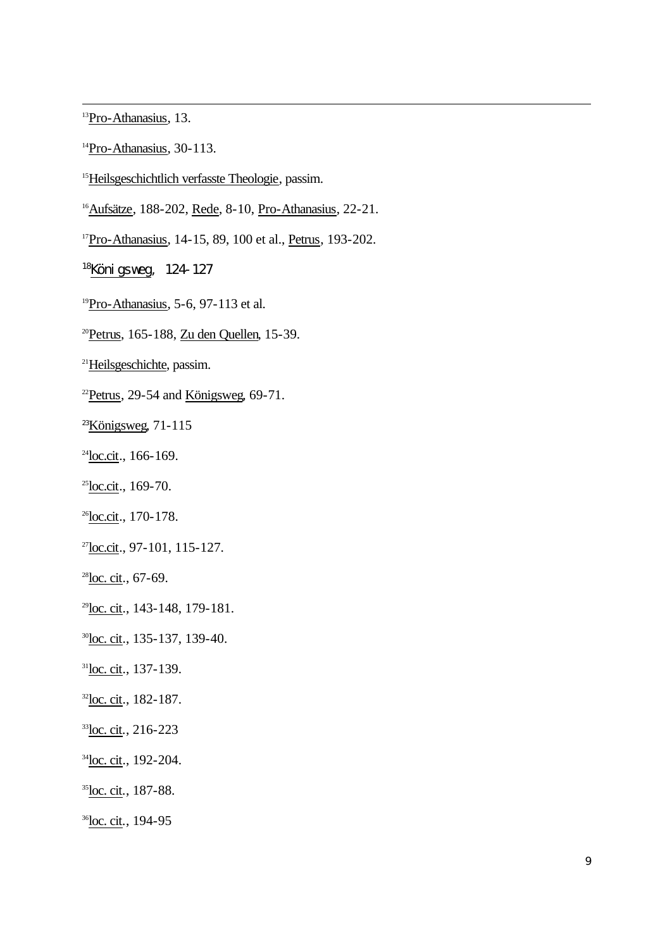<sup>13</sup>Pro-Athanasius, 13.

-

- <sup>14</sup>Pro-Athanasius, 30-113.
- <sup>15</sup>Heilsgeschichtlich verfasste Theologie, passim.
- <sup>16</sup>Aufsätze, 188-202, Rede, 8-10, Pro-Athanasius, 22-21.
- <sup>17</sup>Pro-Athanasius, 14-15, 89, 100 et al., Petrus, 193-202.
- $18$ Königsweg, 124-127
- $19P$ ro-Athanasius, 5-6, 97-113 et al.
- $20$ Petrus, 165-188, Zu den Quellen, 15-39.
- <sup>21</sup>Heilsgeschichte, passim.
- $22$ Petrus, 29-54 and Königsweg, 69-71.
- <sup>23</sup>Königsweg, 71-115
- $^{24}$ loc.cit., 166-169.
- <sup>25</sup>loc.cit., 169-70.
- <sup>26</sup>loc.cit., 170-178.
- $27$ loc.cit., 97-101, 115-127.
- <sup>28</sup>loc. cit., 67-69.
- <sup>29</sup>loc. cit., 143-148, 179-181.
- <sup>30</sup>loc. cit., 135-137, 139-40.
- $31$ <u>loc. cit.</u>, 137-139.
- <sup>32</sup>loc. cit., 182-187.
- <sup>33</sup>loc. cit*.*, 216-223
- <sup>34</sup>loc. cit., 192-204.
- <sup>35</sup>loc. cit*.*, 187-88.
- 36loc. cit*.*, 194-95